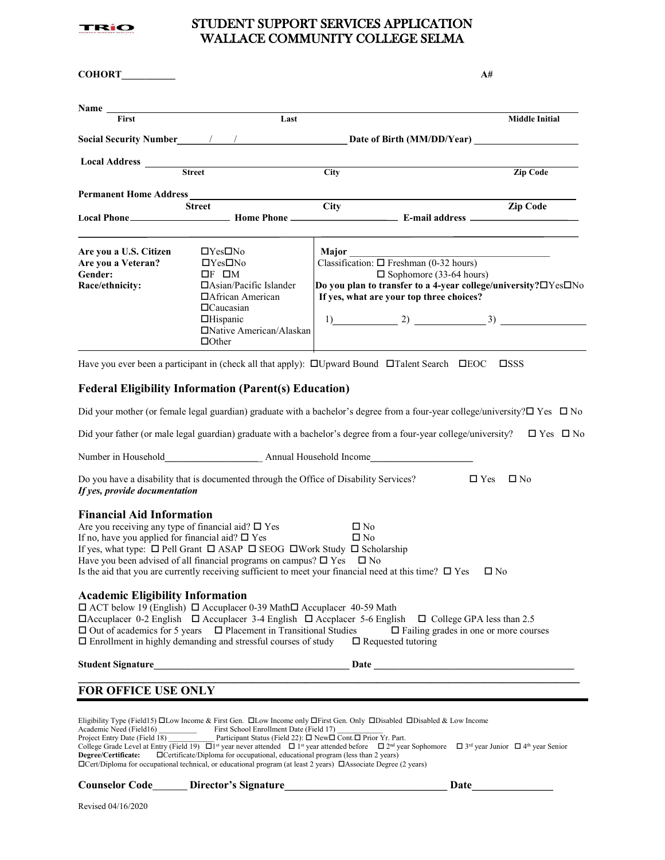

## STUDENT SUPPORT SERVICES APPLICATION WALLACE COMMUNITY COLLEGE SELMA

| <b>COHORT</b>                                                                                                                                                                                                                                                                                                                                                                                                                                                                                                                                                                                                                                                                                                                                                                    |                                                                                                                                                                                                             |             |                                                                                                                               | A#                                                                                                                                                                                                                            |
|----------------------------------------------------------------------------------------------------------------------------------------------------------------------------------------------------------------------------------------------------------------------------------------------------------------------------------------------------------------------------------------------------------------------------------------------------------------------------------------------------------------------------------------------------------------------------------------------------------------------------------------------------------------------------------------------------------------------------------------------------------------------------------|-------------------------------------------------------------------------------------------------------------------------------------------------------------------------------------------------------------|-------------|-------------------------------------------------------------------------------------------------------------------------------|-------------------------------------------------------------------------------------------------------------------------------------------------------------------------------------------------------------------------------|
| Name and the same state of the same state of the same state of the same state of the same state of the same state of the same state of the same state of the same state of the same state of the same state of the same state                                                                                                                                                                                                                                                                                                                                                                                                                                                                                                                                                    |                                                                                                                                                                                                             |             |                                                                                                                               |                                                                                                                                                                                                                               |
| First                                                                                                                                                                                                                                                                                                                                                                                                                                                                                                                                                                                                                                                                                                                                                                            | Last                                                                                                                                                                                                        |             |                                                                                                                               | <b>Middle Initial</b>                                                                                                                                                                                                         |
|                                                                                                                                                                                                                                                                                                                                                                                                                                                                                                                                                                                                                                                                                                                                                                                  |                                                                                                                                                                                                             |             |                                                                                                                               |                                                                                                                                                                                                                               |
|                                                                                                                                                                                                                                                                                                                                                                                                                                                                                                                                                                                                                                                                                                                                                                                  | Local Address <b>Local Address</b><br><b>Street</b>                                                                                                                                                         | <b>City</b> |                                                                                                                               | <b>Zip Code</b>                                                                                                                                                                                                               |
| <b>Permanent Home Address</b>                                                                                                                                                                                                                                                                                                                                                                                                                                                                                                                                                                                                                                                                                                                                                    |                                                                                                                                                                                                             |             |                                                                                                                               |                                                                                                                                                                                                                               |
|                                                                                                                                                                                                                                                                                                                                                                                                                                                                                                                                                                                                                                                                                                                                                                                  | <b>Street</b>                                                                                                                                                                                               | <b>City</b> |                                                                                                                               | <b>Zip Code</b>                                                                                                                                                                                                               |
| Are you a U.S. Citizen<br>Are you a Veteran?<br>Gender:<br>Race/ethnicity:                                                                                                                                                                                                                                                                                                                                                                                                                                                                                                                                                                                                                                                                                                       | $\Box$ Yes $\Box$ No<br>$\Box$ Yes $\Box$ No<br>$\Box F$ $\Box M$<br>$\Box$ Asian/Pacific Islander<br>□ African American<br>$\Box$ Caucasian<br>$\Box$ Hispanic<br>□Native American/Alaskan<br>$\Box$ Other | Major       | Classification: $\Box$ Freshman (0-32 hours)<br>$\square$ Sophomore (33-64 hours)<br>If yes, what are your top three choices? | Do you plan to transfer to a 4-year college/university?□Yes□No<br>1) 2) 3) 3                                                                                                                                                  |
|                                                                                                                                                                                                                                                                                                                                                                                                                                                                                                                                                                                                                                                                                                                                                                                  | Have you ever been a participant in (check all that apply): $\Box$ Upward Bound $\Box$ Talent Search $\Box$ EOC $\Box$ SSS<br><b>Federal Eligibility Information (Parent(s) Education)</b>                  |             |                                                                                                                               |                                                                                                                                                                                                                               |
|                                                                                                                                                                                                                                                                                                                                                                                                                                                                                                                                                                                                                                                                                                                                                                                  |                                                                                                                                                                                                             |             |                                                                                                                               | Did your mother (or female legal guardian) graduate with a bachelor's degree from a four-year college/university? $\square$ Yes $\square$ No                                                                                  |
|                                                                                                                                                                                                                                                                                                                                                                                                                                                                                                                                                                                                                                                                                                                                                                                  |                                                                                                                                                                                                             |             |                                                                                                                               |                                                                                                                                                                                                                               |
|                                                                                                                                                                                                                                                                                                                                                                                                                                                                                                                                                                                                                                                                                                                                                                                  |                                                                                                                                                                                                             |             |                                                                                                                               | Did your father (or male legal guardian) graduate with a bachelor's degree from a four-year college/university? $\square$ Yes $\square$ No                                                                                    |
|                                                                                                                                                                                                                                                                                                                                                                                                                                                                                                                                                                                                                                                                                                                                                                                  | Number in Household <b>Mumber in Household Mumber in Household Mumber in Household Mumber 2016</b>                                                                                                          |             |                                                                                                                               |                                                                                                                                                                                                                               |
| Do you have a disability that is documented through the Office of Disability Services?<br>$\Box$ Yes<br>$\square$ No<br>If yes, provide documentation                                                                                                                                                                                                                                                                                                                                                                                                                                                                                                                                                                                                                            |                                                                                                                                                                                                             |             |                                                                                                                               |                                                                                                                                                                                                                               |
| <b>Financial Aid Information</b><br>Are you receiving any type of financial aid? $\square$ Yes<br>$\square$ No<br>If no, have you applied for financial aid? $\square$ Yes<br>$\square$ No<br>If yes, what type: $\Box$ Pell Grant $\Box$ ASAP $\Box$ SEOG $\Box$ Work Study $\Box$ Scholarship<br>Have you been advised of all financial programs on campus? $\square$ Yes $\square$ No<br>Is the aid that you are currently receiving sufficient to meet your financial need at this time? $\Box$ Yes<br>$\square$ No                                                                                                                                                                                                                                                          |                                                                                                                                                                                                             |             |                                                                                                                               |                                                                                                                                                                                                                               |
| <b>Academic Eligibility Information</b><br>□ ACT below 19 (English) □ Accuplacer 0-39 Math□ Accuplacer 40-59 Math<br>$\Box$ Accuplacer 0-2 English $\Box$ Accuplacer 3-4 English $\Box$ Accplacer 5-6 English $\Box$ College GPA less than 2.5<br>$\Box$ Out of academics for 5 years $\Box$ Placement in Transitional Studies<br>$\Box$ Failing grades in one or more courses<br>$\Box$ Enrollment in highly demanding and stressful courses of study<br>$\Box$ Requested tutoring                                                                                                                                                                                                                                                                                              |                                                                                                                                                                                                             |             |                                                                                                                               |                                                                                                                                                                                                                               |
| <b>Student Signature</b>                                                                                                                                                                                                                                                                                                                                                                                                                                                                                                                                                                                                                                                                                                                                                         |                                                                                                                                                                                                             |             |                                                                                                                               | Date and the set of the set of the set of the set of the set of the set of the set of the set of the set of the set of the set of the set of the set of the set of the set of the set of the set of the set of the set of the |
| <b>FOR OFFICE USE ONLY</b>                                                                                                                                                                                                                                                                                                                                                                                                                                                                                                                                                                                                                                                                                                                                                       |                                                                                                                                                                                                             |             |                                                                                                                               |                                                                                                                                                                                                                               |
| Eligibility Type (Field15) □Low Income & First Gen. □Low Income only □First Gen. Only □Disabled □Disabled & Low Income<br>Academic Need (Field16)<br>First School Enrollment Date (Field 17)<br>Project Entry Date (Field 18) Participant Status (Field 22): □ New□ Cont.□ Prior Yr. Part.<br>College Grade Level at Entry (Field 19) $\Box$ <sup>1st</sup> year never attended $\Box$ 1 <sup>st</sup> year attended before $\Box$ 2 <sup>nd</sup> year Sophomore $\Box$ 3 <sup>rd</sup> year Junior $\Box$ 4 <sup>th</sup> year Senior<br>□ Certificate/Diploma for occupational, educational program (less than 2 years)<br>Degree/Certificate:<br>$\Box$ Cert/Diploma for occupational technical, or educational program (at least 2 years) $\Box$ Associate Degree (2 years) |                                                                                                                                                                                                             |             |                                                                                                                               |                                                                                                                                                                                                                               |

| <b>Counselor Code</b> | Director's Signature |  | Date |
|-----------------------|----------------------|--|------|
|-----------------------|----------------------|--|------|